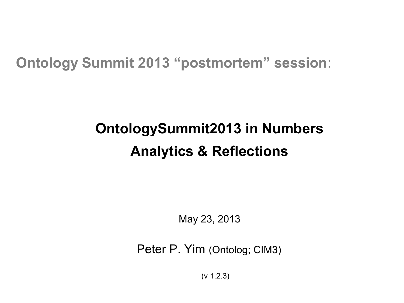#### **Ontology Summit 2013 "postmortem" session**:

### **OntologySummit2013 in Numbers Analytics & Reflections**

May 23, 2013

Peter P. Yim (Ontolog; CIM3)

(v 1.2.3)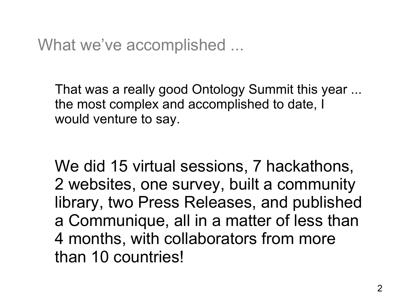What we've accomplished ...

That was a really good Ontology Summit this year ... the most complex and accomplished to date, I would venture to say.

We did 15 virtual sessions, 7 hackathons, 2 websites, one survey, built a community library, two Press Releases, and published a Communique, all in a matter of less than 4 months, with collaborators from more than 10 countries!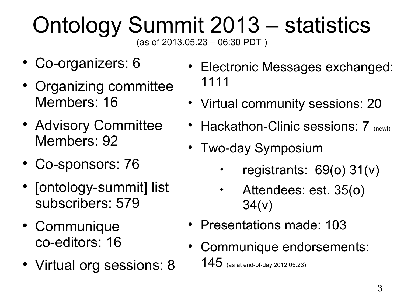#### Ontology Summit 2013 – statistics (as of 2013.05.23 – 06:30 PDT )

- Co-organizers: 6
- Organizing committee Members: 16
- Advisory Committee Members: 92
- Co-sponsors: 76
- [ontology-summit] list subscribers: 579
- Communique co-editors: 16
- Virtual org sessions: 8
- Electronic Messages exchanged: 1111
- Virtual community sessions: 20
- Hackathon-Clinic sessions: 7 (new!)
- Two-day Symposium
	- $\blacklozenge$ registrants: 69(o) 31(v)
	- Attendees: est. 35(o) 34(v)
- Presentations made: 103
- Communique endorsements:  $145$  (as at end-of-day 2012.05.23)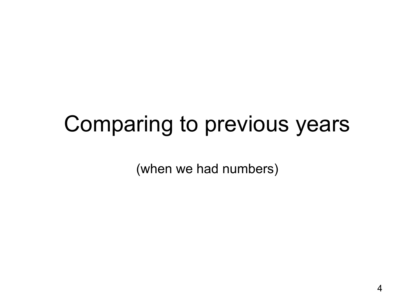### Comparing to previous years

(when we had numbers)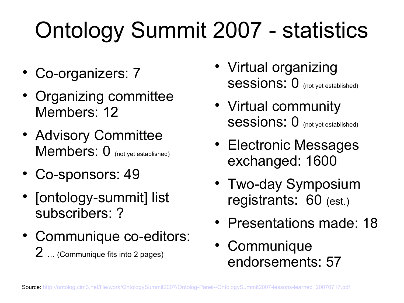## Ontology Summit 2007 - statistics

- Co-organizers: 7
- Organizing committee Members: 12
- Advisory Committee Members: 0 (not yet established)
- Co-sponsors: 49
- [ontology-summit] list subscribers: ?
- Communique co-editors:  $2$  ... (Communique fits into 2 pages)
- Virtual organizing Sessions: 0 (not yet established)
- Virtual community Sessions: 0 (not yet established)
- Electronic Messages exchanged: 1600
- Two-day Symposium registrants: 60 (est.)
- Presentations made: 18
- Communique endorsements: 57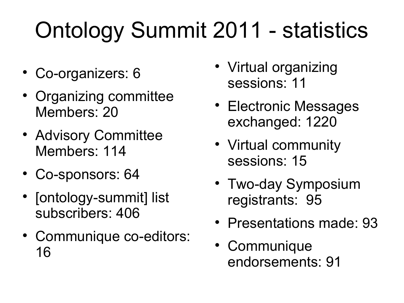## Ontology Summit 2011 - statistics

- Co-organizers: 6
- Organizing committee Members: 20
- Advisory Committee Members: 114
- Co-sponsors: 64
- [ontology-summit] list subscribers: 406
- Communique co-editors: 16
- Virtual organizing sessions: 11
- Electronic Messages exchanged: 1220
- Virtual community sessions: 15
- Two-day Symposium registrants: 95
- Presentations made: 93
- Communique endorsements: 91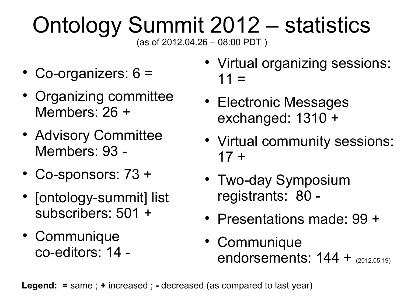# Ontology Summit 2012 – statistics

(as of 2012.04.26 – 08:00 PDT )

- Co-organizers: 6 =
- Organizing committee Members: 26 +
- Advisory Committee Members: 93 -
- Co-sponsors: 73 +
- [ontology-summit] list subscribers: 501 +
- Communique co-editors: 14 -
- Virtual organizing sessions:  $11 =$
- Electronic Messages exchanged: 1310 +
- Virtual community sessions:  $17 +$
- Two-day Symposium registrants: 80 -
- Presentations made: 99 +
- Communique endorsements: 144 + (2012.05.19)

**Legend: =** same ; **+** increased ; **-** decreased (as compared to last year)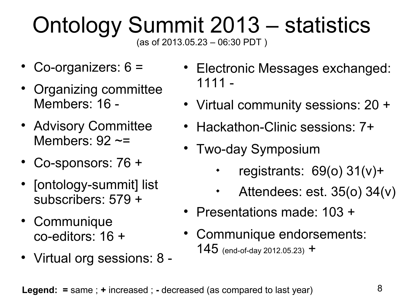#### Ontology Summit 2013 – statistics (as of 2013.05.23 – 06:30 PDT )

- Co-organizers: 6 =
- Organizing committee Members: 16 -
- Advisory Committee Members:  $92 \approx$
- Co-sponsors: 76 +
- [ontology-summit] list subscribers: 579 +
- Communique co-editors: 16 +
- Virtual org sessions: 8 -
- Electronic Messages exchanged: 1111 -
- Virtual community sessions: 20 +
- Hackathon-Clinic sessions: 7+
- Two-day Symposium
	- $\blacklozenge$ registrants: 69(o) 31(v)+
	- Attendees: est. 35(o) 34(v)
- Presentations made: 103 +
- Communique endorsements: 145 (end-of-day 2012.05.23)  $+$